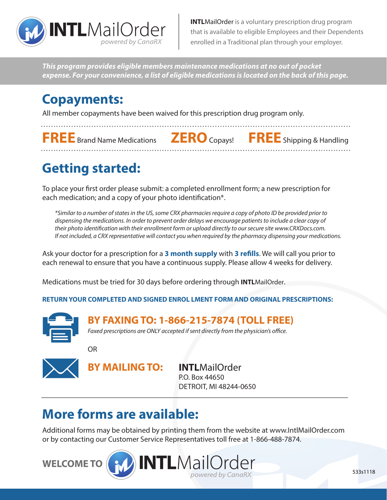

**INTLMailOrder** is a voluntary prescription drug program that is available to eligible Employees and their Dependents enrolled in a Traditional plan through your employer.

*This program provides eligible members maintenance medications at no out of pocket expense. For your convenience, a list of eligible medications is located on the back of this page.*

### **Copayments:**

All member copayments have been waived for this prescription drug program only.

**FREE** Brand Name Medications **ZERO** Copays! **FREE** Shipping & Handling

# **Getting started:**

To place your first order please submit: a completed enrollment form; a new prescription for each medication; and a copy of your photo identification\*.

*\*Similar to a number of states in the US, some CRX pharmacies require a copy of photo ID be provided prior to dispensing the medications. In order to prevent order delays we encourage patients to include a clear copy of their photo identification with their enrollment form or upload directly to our secure site www.CRXDocs.com. If not included, a CRX representative will contact you when required by the pharmacy dispensing your medications.*

Ask your doctor for a prescription for a **3 month supply** with **3 refills**. We will call you prior to each renewal to ensure that you have a continuous supply. Please allow 4 weeks for delivery.

Medications must be tried for 30 days before ordering through **INTL**MailOrder.

**RETURN YOUR COMPLETED AND SIGNED ENROL LMENT FORM AND ORIGINAL PRESCRIPTIONS:**



**BY FAXING TO: 1-866-215-7874 (TOLL FREE)**

*Faxed prescriptions are ONLY accepted if sent directly from the physician's office.*

OR



**BY MAILING TO: INTL**MailOrder P.O. Box 44650 DETROIT, MI 48244-0650

## **More forms are available:**

Additional forms may be obtained by printing them from the website at www.IntlMailOrder.com or by contacting our Customer Service Representatives toll free at 1-866-488-7874.

**WELCOME TO**



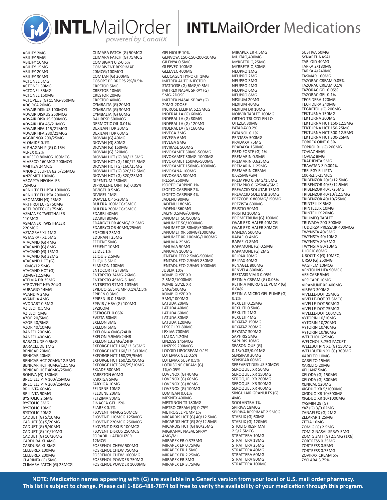

ABILIFY 5MG ABILIFY 10MG ABILIFY 15MG ABILIFY 20MG ABILIFY 30MG ACTONEL 5MG ACTONEL 30MG ACTONEL 35MG ACTONEL 150MG ACTOPLUS (G) 15MG-850MG ADCIRCA 20MG ADVAIR DISKUS 100MCG ADVAIR DISKUS 250MCG ADVAIR DISKUS 500MCG ADVAIR HFA 45/21MCG ADVAIR HFA 115/21MCG ADVAIR HFA 230/21MCG AGGRENOX 200/25MG ALOMIDE 0.1% ALPHAGAN-P (G) 0.15% ALREX 0.2% ALVESCO 80MCG 100MCG ALVESCO 160MCG 200MCG AMITIZA 24MCG ANORO ELLIPTA 62.5/25MCG ANZEMET 100MG ARCAPTA NEOHALER 75MCG ARNUITY ELLIPTA 100MCG ARNUITY ELLIPTA 200MCG AROMASIN (G) 25MG ARTHROTEC (G) 50MG ARTHROTEC (G) 75MG ASMANEX TWISTHALER 110MCG ASMANEX TWISTHALER 220MCG ASTAGRAF XL 1MG ASTAGRAF XL 5MG ATACAND (G) 4MG ATACAND (G) 8MG ATACAND (G) 16MG ATACAND (G) 32MG ATACAND HCT (G) 16MG/12.5MG ATACAND HCT (G) 32MG/12.5MG ATELVIA DR 35MG ATROVENT HFA 20UG AUBAGIO 14MG AVANDIA 2MG AVANDIA 4MG AVODART 0.5MG AZILECT 0.5MG AZILECT 1MG AZOR 20/5MG AZOR 40/5MG AZOR 40/10MG BANZEL 200MG BANZEL 400MG BARACLUDE 0.5MG BARACLUDE 1MG BENICAR 20MG BENICAR 40MG BENICAR HCT 20MG/12.5MG BENICAR HCT 40MG/12.5MG BENICAR HCT 40MG/25MG BONIVA (G) 150MG BREO ELLIPTA 100/25MCG BREO ELLIPTA 200/25MCG BRILINTA 60MG BRILINTA 90MG BYSTOLIC 2.5MG BYSTOLIC 5MG BYSTOLIC 10MG BYSTOLIC 20MG CADUET (G) 5/10MG CADUET (G) 5/20MG CADUET (G) 5/40MG CADUET (G) 10/10MG CADUET (G) 10/20MG CARDURA XL 4MG CARDURA XL 8MG CELEBREX 100MG CELEBREX 200MG CLARINEX (G) 5MG CLIMARA PATCH (G) 25MCG

ABILIFY 2MG

CLIMARA PATCH (G) 50MCG CLIMARA PATCH (G) 75MCG COMBIGAN 0.2-0.5% COMBIVENT RESPIMAT 20MCG/100MCG COMTAN (G) 200MG COSOPT PF DROPS 2%/0.5% CRESTOR 5MG CRESTOR 10MG CRESTOR 20MG CRESTOR 40MG CYMBALTA (G) 20MG CYMBALTA (G) 30MG CYMBALTA (G) 60MG DALIRESP 500MCG DERMOTIC OIL 0.01% DEXILANT DR 30MG DEXILANT DR 60MG DIOVAN (G) 40MG DIOVAN (G) 80MG DIOVAN (G) 160MG DIOVAN (G) 320MG DIOVAN HCT (G) 80/12.5MG DIOVAN HCT (G) 160/12.5MG DIOVAN HCT (G) 160/25MG DIOVAN HCT (G) 320/12.5MG DIOVAN HCT (G) 320/25MG DIPENTUM 250MG DIPROLENE OINT (G) 0.05% DIVIGEL 0.5MG DIVIGEL 1MG DUAVEE 0.45-20MG DULERA 100MCG/5MCG DULERA 200MCG/5MCG EDARBI 40MG EDARBI 80MG EDARBYCLOR 40MG/12.5MG EDARBYCLOR 40MG/25MG EDECRIN 25MG EDURANT 25MG EFFIENT 5MG EFFIENT 10MG ELIDEL 1% ELIQUIS 2.5MG ELIQUIS 5MG ELIQUIS SING ENTOCORT (G) 3MG ENTRESTO 24MG-26MG ENTRESTO 49MG-51MG ENTRESTO 97MG-103MG EPIDUO GEL PUMP 0.1%/2.5% EPIPEN 0.3MG EPIPEN JR 0.15MG EPIVIR / HBV (G) 100MG EPZICOM ESTROGEL 0.06% EVISTA 60MG EXELON 3MG EXELON 6MG EXELON 4.6MG/24HR EXELON 9.5MG/24HR EXELON 13.3MG/24HR EXFORGE HCT 160/12.5/5MG EXFORGE HCT 160/12.5/10MG EXFORGE HCT 160/25/5MG EXFORGE HCT 160/25/10MG EXFORGE HCT 320/25/10MG EXJADE 500MG FARESTON 60MG FARXIGA 5MG FARXIGA 10MG FELDENE 10MG FELDENE 20MG FETZIMA 80MG FINACEA GEL 15% FLAREX 0.1% FLOVENT 44MCG 50MCG FLOVENT 110MCG 125MCG FLOVENT 220MCG 250MCG FLOVENT DISKUS 100MCG FLOVENT DISKUS 250MCG FORADIL + AEROLIZER 12MCG FOSRENOL CHEW 500MG FOSRENOL CHEW 750MG FOSRENOL CHEW 1000MG FOSRENOL POWDER 750MG FOSRENOL POWDER 1000MG

GELNIQUE 10% GENVOYA 150-150-200-10MG GILENYA 0.5MG GLEEVEC 100MG GLEEVEC 400MG GLUCAGEN HYPOKIT 1MG IMITREX AUTOINJECTOR STATDOSE (G) 6MG/0.5ML IMITREX NASAL SPRAY (G) 5MG-2DOSE IMITREX NASAL SPRAY (G) 20MG-2DOSE INCRUSE ELLIPTA 62.5MCG INDERAL LA (G) 60MG INDERAL LA (G) 80MG INDERAL LA (G) 120MG INDERAL LA (G) 160MG INVEGA 3MG INVEGA 6MG INVEGA 9MG INVIRASE 500MG INVOKAMET 50MG-500MG INVOKAMET 50MG-1000MG INVOKAMET 150MG-500MG INVOKAMET 150MG-1000MG INVOKANA 100MG INVOKANA 300MG IRESSA 250MG ISOPTO CARPINE 1% ISOPTO CARPINE 2% ISOPTO CARPINE 4% JADENU 90MG JADENU 180MG JADENU 360MG JALYN 0.5MG/0.4MG JANUMET 50/500MG JANUMET 50/1000MG JANUMET XR 50MG/500MG JANUMET XR 50MG/1000MG JANUMET XR 100MG/1000MG JANUVIA 25MG JANUVIA 50MG JANUVIA 100MG JENTADUETO 2.5MG-500MG JENTADUETO 2.5MG-850MG JENTADUETO 2.5MG-1000MG JUBLIA 10% KOMBIGLYZE XR 2.5MG/1000MG KOMBIGLYZE XR 5MG/500MG KOMBIGLYZE XR 5MG/1000MG LATUDA 20MG LATUDA 40MG LATUDA 60MG LATUDA 80MG LATUDA 120MG LESCOL XL 80MG LEXIVA 700MG LIALDA 1.2GM LINZESS 145MCG LINZESS 290MCG LOCOID LIPOCREAM 0.1% LOTEMAX GEL 0.5% LOTEMAX SUSP 0.5% LOTRISONE CREAM (G) 1%/0.05% LOVENOX (G) 40MG LOVENOX (G) 60MG LOVENOX (G) 80MG LOVENOX (G) 100MG LUMIGAN 0.01% MESNEX 400MG MESTINON TS 180MG METRO CREAM (G) 0.75% METROGEL PUMP 1% MICARDIS HCT (G) 40/12.5MG MICARDIS HCT (G) 80/12.5MG MICARDIS HCT (G) 80/25MG MIGRANAL NASAL SPRAY 4MG/ML MIRAPEX ER 0.375MG MIRAPEX ER 0.75MG MIRAPEX ER 1.5MG MIRAPEX ER 2.25MG MIRAPEX ER 3MG MIRAPEX ER 3.75MG

MIRAPEX ER 4.5MG MULTAQ 400MG MYRBETRIQ 25MG MYRBETRIQ 50MG NEUPRO 1MG NEUPRO 2MG NEUPRO 3MG NEUPRO 4MG NEUPRO 6MG NEUPRO 8MG NEXIUM 20MG NEXIUM 40MG NEXIUM DR 10MG NORVIR TABLET 100MG ORTHO-TRI-CYCLEN LO OTEZLA 30MG PATADAY 0.2% PATANOL 0.1% PENTASA 500MG PRADAXA 75MG PRADAXA 150MG PRED FORTE (G) 1% PREMARIN 0.3MG PREMARIN 0.625MG PREMARIN 1.25MG PREMARIN CREAM 0.625MG/GM PREMPRO 0.3MG/1.5MG PREMPRO 0.625MG/5MG PREVACID SOLUTAB 15MG PREVACID SOLUTAB 30MG PREZCOBIX 800MG/150MG PREZISTA 800MG PRISTIQ 50MG PRISTIQ 100MG PROMETRIUM (G) 100MG QVAR REDIHALER 40MCG QVAR REDIHALER 80MCG RANEXA 500MG RAPAFLO 4MG RAPAFLO 8MG RAPAMUNE (G) 0.5MG RAPAMUNE (G) 2MG RELPAX 20MG RELPAX 40MG RENAGEL 800MG RENVELA 800MG RESTASIS VIALS 0.05% RETIN A CREAM (G) 0.05% RETIN A MICRO GEL PUMP (G) 0.04% RETIN-A MICRO GEL PUMP (G) 0.1% REXULTI 0.25MG REXULTI 0.5MG REXULTI 2MG REXULTI 4MG REYATAZ 150MG REYATAZ 200MG REYATAZ 300MG SAPHRIS 5MG SAPHRIS 10MG SEASONIQUE (G) 0.15/0.03/0.01MG SENSIPAR 30MG SENSIPAR 60MG SEREVENT DISKUS 50MCG SEROQUEL XR 50MG SEROQUEL XR 150MG SEROQUEL XR 200MG SEROQUEL XR 300MG SEROQUEL XR 400MG SINGULAIR GRANULES (G) 4MG SOOLANTRA 1% SPIRIVA 18MCG SPIRIVA RESPIMAT 2.5MCG STARLIX (G) 60MG STARLIX (G) 120MG STIOLTO RESPIMAT 2.5/2.5MCG STRATTERA 10MG STRATTERA 18MG STRATTERA 25MG STRATTERA 40MG STRATTERA 60MG STRATTERA 80MG STRATTERA 100MG

# **INTL**MailOrder Medications

SUSTIVA 50MG SYNAREL NASAL TABLOID 40MG TARKA 2/180MG TARKA 4/240MG TASMAR 100MG TAZORAC CREAM 0.05% TAZORAC CREAM 0.1% TAZORAC GEL 0.05% TAZORAC GEL 0.1% TECFIDERA 120MG TECFIDERA 240MG TEGRETOL (G) 200MG TEKTURNA 150MG TEKTURNA 300MG TEKTURNA HCT 150-12.5MG TEKTURNA HCT 150-25MG TEKTURNA HCT 300-12.5MG TEKTURNA HCT 300-25MG TOBREX OINT 0.3% TOPROL XL (G) 200MG TOVIAZ 4MG TOVIAZ 8MG TRADJENTA 5MG TRAVATAN Z 0.004% TRELEGY ELLIPTA 100-62.5-25MCG TRIBENZOR 20/5/12.5MG TRIBENZOR 40/5/12.5MG TRIBENZOR 40/5/25MG TRIBENZOR 40/10/12.5MG TRIBENZOR 40/10/25MG TRINTELLIX 5MG TRINTELLIX 10MG TRINTELLIX 20MG TRIUMEQ TABLET TRUVADA 200-300MG TUDORZA PRESSAIR 400MCG TWYNSTA 40/5MG TWYNSTA 40/10MG TWYNSTA 80/5MG TWYNSTA 80/10MG ULORIC 80MG UROCIT-K (G) 10MEQ URSO (G) 250MG VAGIFEM 10MCG VENTOLIN HFA 90MCG VESICARE 5MG VESICARE 10MG VIRAMUNE XR 400MG VIREAD 300MG VIVELLE-DOT 25MCG VIVELLE-DOT 37.5MCG VIVELLE-DOT 50MCG VIVELLE-DOT 75MCG VIVELLE-DOT 100MCG VYTORIN 10/10MG VYTORIN 10/20MG VYTORIN 10/40MG VYTORIN 10/80MG WELCHOL 625MG WELCHOL 3.75G PACKET WELLBUTRIN XL (G) 150MG WELLBUTRIN XL (G) 300MG XARELTO 10MG XARELTO 15MG XARELTO 20MG XELJANZ 5MG XELODA (G) 150MG XELODA (G) 500MG XENICAL 120MG XIGDUO XR 5/1000MG XIGDUO XR 10/500MG XIGDUO XR 10/1000MG YASMIN 28 (G) YAZ (G) 3/0.02MG ZANAFLEX (G) 2MG ZELAPAR 1.25MG ZETIA 10MG ZOMIG (G) 2.5MG ZOMIG NASAL SPRAY 5MG ZOMIG ZMT (G) 2.5MG (1X6) ZORTRESS 0.25MG ZORTRESS 0.5MG ZORTRESS 0.75MG ZOVIRAX CREAM 5% ZYCLARA 3.75%

**NOTE: Medication names appearing with (G) are available in a Generic version from your local or U.S. mail order pharmacy. This list is subject to change. Please call 1-866-488-7874 toll free to verify the availability of your medication through this program.**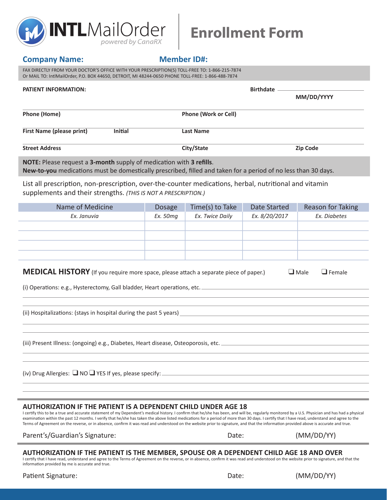

# **Enrollment Form**

### **Company Name:** Member ID#:

FAX DIRECTLY FROM YOUR DOCTOR'S OFFICE WITH YOUR PRESCRIPTION(S) TOLL-FREE TO: 1-866-215-7874 Or MAIL TO: IntlMailOrder, P.O. BOX 44650, DETROIT, MI 48244-0650 PHONE TOLL-FREE: 1-866-488-7874

| <b>PATIENT INFORMATION:</b>                                                                                                                                                                  |               | <b>Birthdate</b>            |               |                          |  |
|----------------------------------------------------------------------------------------------------------------------------------------------------------------------------------------------|---------------|-----------------------------|---------------|--------------------------|--|
|                                                                                                                                                                                              |               |                             |               | MM/DD/YYYY               |  |
| <b>Phone (Home)</b>                                                                                                                                                                          |               | <b>Phone (Work or Cell)</b> |               |                          |  |
| <b>First Name (please print)</b><br><b>Initial</b>                                                                                                                                           |               | <b>Last Name</b>            |               |                          |  |
| <b>Street Address</b>                                                                                                                                                                        |               | City/State                  |               | <b>Zip Code</b>          |  |
| <b>NOTE:</b> Please request a 3-month supply of medication with 3 refills.<br>New-to-you medications must be domestically prescribed, filled and taken for a period of no less than 30 days. |               |                             |               |                          |  |
| List all prescription, non-prescription, over-the-counter medications, herbal, nutritional and vitamin<br>supplements and their strengths. (THIS IS NOT A PRESCRIPTION.)                     |               |                             |               |                          |  |
| Name of Medicine                                                                                                                                                                             | <b>Dosage</b> | Time(s) to Take             | Date Started  | <b>Reason for Taking</b> |  |
| Ex. Januvia                                                                                                                                                                                  | Ex. 50mg      | Ex. Twice Daily             | Ex. 8/20/2017 | Ex. Diabetes             |  |
|                                                                                                                                                                                              |               |                             |               |                          |  |
|                                                                                                                                                                                              |               |                             |               |                          |  |
|                                                                                                                                                                                              |               |                             |               |                          |  |
|                                                                                                                                                                                              |               |                             |               |                          |  |
|                                                                                                                                                                                              |               |                             |               |                          |  |

| <b>MEDICAL HISTORY</b> (If you require more space, please attach a separate piece of paper.) |  | $\Box$ Male $\Box$ Female |
|----------------------------------------------------------------------------------------------|--|---------------------------|
|----------------------------------------------------------------------------------------------|--|---------------------------|

(i) Operations: e.g., Hysterectomy, Gall bladder, Heart operations, etc.

(ii) Hospitalizations: (stays in hospital during the past 5 years)

(iii) Present Illness: (ongoing) e.g., Diabetes, Heart disease, Osteoporosis, etc.

(iv) Drug Allergies:  $\Box$  NO  $\Box$  YES If yes, please specify:  $\_\_$ 

### **AUTHORIZATION IF THE PATIENT IS A DEPENDENT CHILD UNDER AGE 18**

I certify this to be a true and accurate statement of my Dependent's medical history. I confirm that he/she has been, and will be, regularly monitored by a U.S. Physician and has had a physical examination within the past 12 months. I verify that he/she has taken the above listed medications for a period of more than 30 days. I certify that I have read, understand and agree to the Terms of Agreement on the reverse, or in absence, confirm it was read and understood on the website prior to signature, and that the information provided above is accurate and true.

Parent's/Guardian's Signature: Date: (MM/DD/YY)

| . . |  |
|-----|--|
|     |  |

#### **AUTHORIZATION IF THE PATIENT IS THE MEMBER, SPOUSE OR A DEPENDENT CHILD AGE 18 AND OVER**

I certify that I have read, understand and agree to the Terms of Agreement on the reverse, or in absence, confirm it was read and understood on the website prior to signature, and that the information provided by me is accurate and true.

| Patient Signature: |  |  |
|--------------------|--|--|
|--------------------|--|--|